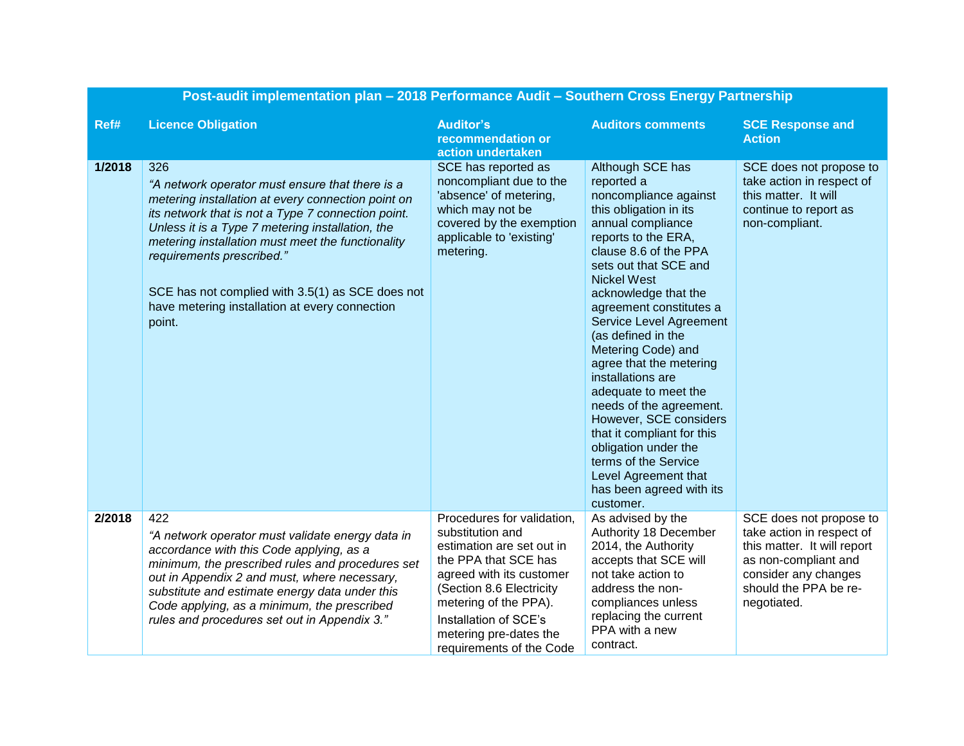| Post-audit implementation plan - 2018 Performance Audit - Southern Cross Energy Partnership |                                                                                                                                                                                                                                                                                                                                                                                                                          |                                                                                                                                                                                                                                                                     |                                                                                                                                                                                                                                                                                                                                                                                                                                                                                                                                                                                                                    |                                                                                                                                                                             |
|---------------------------------------------------------------------------------------------|--------------------------------------------------------------------------------------------------------------------------------------------------------------------------------------------------------------------------------------------------------------------------------------------------------------------------------------------------------------------------------------------------------------------------|---------------------------------------------------------------------------------------------------------------------------------------------------------------------------------------------------------------------------------------------------------------------|--------------------------------------------------------------------------------------------------------------------------------------------------------------------------------------------------------------------------------------------------------------------------------------------------------------------------------------------------------------------------------------------------------------------------------------------------------------------------------------------------------------------------------------------------------------------------------------------------------------------|-----------------------------------------------------------------------------------------------------------------------------------------------------------------------------|
| Ref#                                                                                        | <b>Licence Obligation</b>                                                                                                                                                                                                                                                                                                                                                                                                | <b>Auditor's</b><br>recommendation or<br>action undertaken                                                                                                                                                                                                          | <b>Auditors comments</b>                                                                                                                                                                                                                                                                                                                                                                                                                                                                                                                                                                                           | <b>SCE Response and</b><br><b>Action</b>                                                                                                                                    |
| 1/2018                                                                                      | 326<br>"A network operator must ensure that there is a<br>metering installation at every connection point on<br>its network that is not a Type 7 connection point.<br>Unless it is a Type 7 metering installation, the<br>metering installation must meet the functionality<br>requirements prescribed."<br>SCE has not complied with 3.5(1) as SCE does not<br>have metering installation at every connection<br>point. | SCE has reported as<br>noncompliant due to the<br>'absence' of metering,<br>which may not be<br>covered by the exemption<br>applicable to 'existing'<br>metering.                                                                                                   | Although SCE has<br>reported a<br>noncompliance against<br>this obligation in its<br>annual compliance<br>reports to the ERA,<br>clause 8.6 of the PPA<br>sets out that SCE and<br><b>Nickel West</b><br>acknowledge that the<br>agreement constitutes a<br><b>Service Level Agreement</b><br>(as defined in the<br>Metering Code) and<br>agree that the metering<br>installations are<br>adequate to meet the<br>needs of the agreement.<br>However, SCE considers<br>that it compliant for this<br>obligation under the<br>terms of the Service<br>Level Agreement that<br>has been agreed with its<br>customer. | SCE does not propose to<br>take action in respect of<br>this matter. It will<br>continue to report as<br>non-compliant.                                                     |
| 2/2018                                                                                      | 422<br>"A network operator must validate energy data in<br>accordance with this Code applying, as a<br>minimum, the prescribed rules and procedures set<br>out in Appendix 2 and must, where necessary,<br>substitute and estimate energy data under this<br>Code applying, as a minimum, the prescribed<br>rules and procedures set out in Appendix 3."                                                                 | Procedures for validation,<br>substitution and<br>estimation are set out in<br>the PPA that SCE has<br>agreed with its customer<br>(Section 8.6 Electricity<br>metering of the PPA).<br>Installation of SCE's<br>metering pre-dates the<br>requirements of the Code | As advised by the<br>Authority 18 December<br>2014, the Authority<br>accepts that SCE will<br>not take action to<br>address the non-<br>compliances unless<br>replacing the current<br>PPA with a new<br>contract.                                                                                                                                                                                                                                                                                                                                                                                                 | SCE does not propose to<br>take action in respect of<br>this matter. It will report<br>as non-compliant and<br>consider any changes<br>should the PPA be re-<br>negotiated. |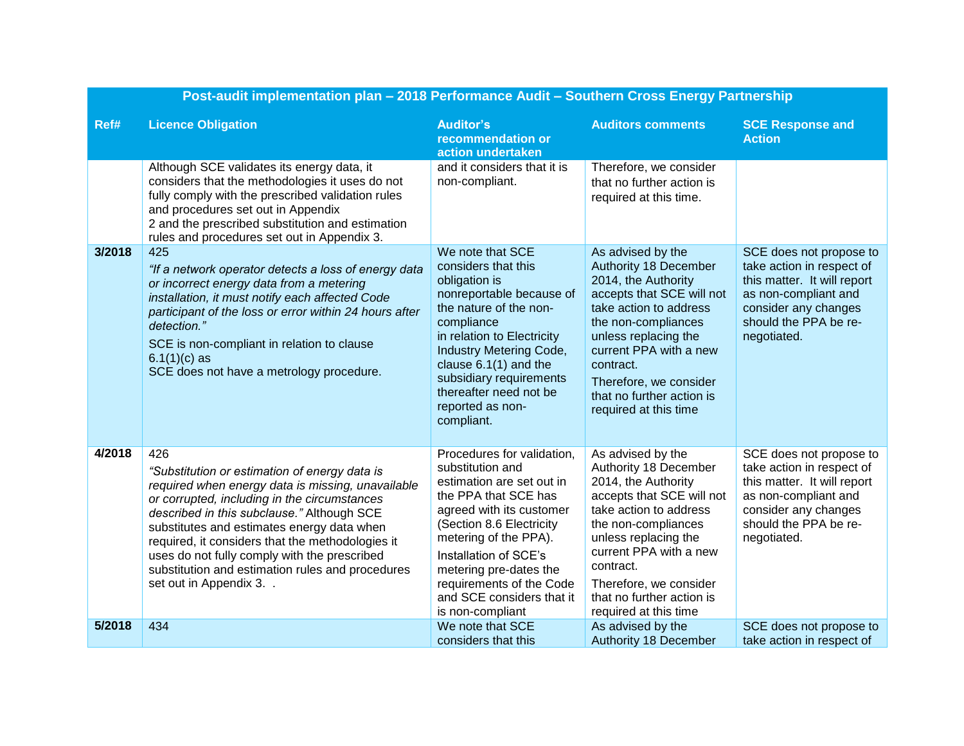| Post-audit implementation plan - 2018 Performance Audit - Southern Cross Energy Partnership |                                                                                                                                                                                                                                                                                                                                                                                                                                           |                                                                                                                                                                                                                                                                                                                      |                                                                                                                                                                                                                                                                                                       |                                                                                                                                                                             |
|---------------------------------------------------------------------------------------------|-------------------------------------------------------------------------------------------------------------------------------------------------------------------------------------------------------------------------------------------------------------------------------------------------------------------------------------------------------------------------------------------------------------------------------------------|----------------------------------------------------------------------------------------------------------------------------------------------------------------------------------------------------------------------------------------------------------------------------------------------------------------------|-------------------------------------------------------------------------------------------------------------------------------------------------------------------------------------------------------------------------------------------------------------------------------------------------------|-----------------------------------------------------------------------------------------------------------------------------------------------------------------------------|
| Ref#                                                                                        | <b>Licence Obligation</b>                                                                                                                                                                                                                                                                                                                                                                                                                 | <b>Auditor's</b><br>recommendation or<br>action undertaken                                                                                                                                                                                                                                                           | <b>Auditors comments</b>                                                                                                                                                                                                                                                                              | <b>SCE Response and</b><br><b>Action</b>                                                                                                                                    |
|                                                                                             | Although SCE validates its energy data, it<br>considers that the methodologies it uses do not<br>fully comply with the prescribed validation rules<br>and procedures set out in Appendix<br>2 and the prescribed substitution and estimation<br>rules and procedures set out in Appendix 3.                                                                                                                                               | and it considers that it is<br>non-compliant.                                                                                                                                                                                                                                                                        | Therefore, we consider<br>that no further action is<br>required at this time.                                                                                                                                                                                                                         |                                                                                                                                                                             |
| 3/2018                                                                                      | 425<br>"If a network operator detects a loss of energy data<br>or incorrect energy data from a metering<br>installation, it must notify each affected Code<br>participant of the loss or error within 24 hours after<br>detection."<br>SCE is non-compliant in relation to clause<br>$6.1(1)(c)$ as<br>SCE does not have a metrology procedure.                                                                                           | We note that SCE<br>considers that this<br>obligation is<br>nonreportable because of<br>the nature of the non-<br>compliance<br>in relation to Electricity<br>Industry Metering Code,<br>clause $6.1(1)$ and the<br>subsidiary requirements<br>thereafter need not be<br>reported as non-<br>compliant.              | As advised by the<br><b>Authority 18 December</b><br>2014, the Authority<br>accepts that SCE will not<br>take action to address<br>the non-compliances<br>unless replacing the<br>current PPA with a new<br>contract.<br>Therefore, we consider<br>that no further action is<br>required at this time | SCE does not propose to<br>take action in respect of<br>this matter. It will report<br>as non-compliant and<br>consider any changes<br>should the PPA be re-<br>negotiated. |
| 4/2018                                                                                      | 426<br>"Substitution or estimation of energy data is<br>required when energy data is missing, unavailable<br>or corrupted, including in the circumstances<br>described in this subclause." Although SCE<br>substitutes and estimates energy data when<br>required, it considers that the methodologies it<br>uses do not fully comply with the prescribed<br>substitution and estimation rules and procedures<br>set out in Appendix 3. . | Procedures for validation,<br>substitution and<br>estimation are set out in<br>the PPA that SCE has<br>agreed with its customer<br>(Section 8.6 Electricity<br>metering of the PPA).<br>Installation of SCE's<br>metering pre-dates the<br>requirements of the Code<br>and SCE considers that it<br>is non-compliant | As advised by the<br>Authority 18 December<br>2014, the Authority<br>accepts that SCE will not<br>take action to address<br>the non-compliances<br>unless replacing the<br>current PPA with a new<br>contract.<br>Therefore, we consider<br>that no further action is<br>required at this time        | SCE does not propose to<br>take action in respect of<br>this matter. It will report<br>as non-compliant and<br>consider any changes<br>should the PPA be re-<br>negotiated. |
| 5/2018                                                                                      | 434                                                                                                                                                                                                                                                                                                                                                                                                                                       | We note that SCE<br>considers that this                                                                                                                                                                                                                                                                              | As advised by the<br><b>Authority 18 December</b>                                                                                                                                                                                                                                                     | SCE does not propose to<br>take action in respect of                                                                                                                        |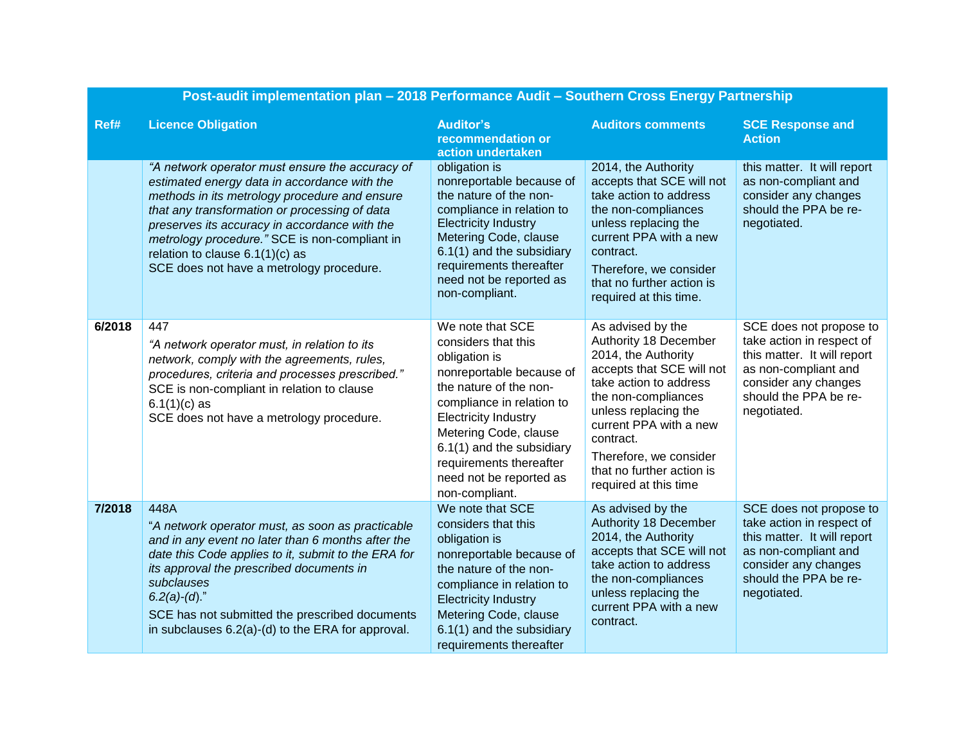| Post-audit implementation plan - 2018 Performance Audit - Southern Cross Energy Partnership |                                                                                                                                                                                                                                                                                                                                                                                      |                                                                                                                                                                                                                                                                                                          |                                                                                                                                                                                                                                                                                                |                                                                                                                                                                             |
|---------------------------------------------------------------------------------------------|--------------------------------------------------------------------------------------------------------------------------------------------------------------------------------------------------------------------------------------------------------------------------------------------------------------------------------------------------------------------------------------|----------------------------------------------------------------------------------------------------------------------------------------------------------------------------------------------------------------------------------------------------------------------------------------------------------|------------------------------------------------------------------------------------------------------------------------------------------------------------------------------------------------------------------------------------------------------------------------------------------------|-----------------------------------------------------------------------------------------------------------------------------------------------------------------------------|
| Ref#                                                                                        | <b>Licence Obligation</b>                                                                                                                                                                                                                                                                                                                                                            | <b>Auditor's</b><br>recommendation or<br>action undertaken                                                                                                                                                                                                                                               | <b>Auditors comments</b>                                                                                                                                                                                                                                                                       | <b>SCE Response and</b><br><b>Action</b>                                                                                                                                    |
|                                                                                             | "A network operator must ensure the accuracy of<br>estimated energy data in accordance with the<br>methods in its metrology procedure and ensure<br>that any transformation or processing of data<br>preserves its accuracy in accordance with the<br>metrology procedure." SCE is non-compliant in<br>relation to clause $6.1(1)(c)$ as<br>SCE does not have a metrology procedure. | obligation is<br>nonreportable because of<br>the nature of the non-<br>compliance in relation to<br><b>Electricity Industry</b><br>Metering Code, clause<br>6.1(1) and the subsidiary<br>requirements thereafter<br>need not be reported as<br>non-compliant.                                            | 2014, the Authority<br>accepts that SCE will not<br>take action to address<br>the non-compliances<br>unless replacing the<br>current PPA with a new<br>contract.<br>Therefore, we consider<br>that no further action is<br>required at this time.                                              | this matter. It will report<br>as non-compliant and<br>consider any changes<br>should the PPA be re-<br>negotiated.                                                         |
| 6/2018                                                                                      | 447<br>"A network operator must, in relation to its<br>network, comply with the agreements, rules,<br>procedures, criteria and processes prescribed."<br>SCE is non-compliant in relation to clause<br>$6.1(1)(c)$ as<br>SCE does not have a metrology procedure.                                                                                                                    | We note that SCE<br>considers that this<br>obligation is<br>nonreportable because of<br>the nature of the non-<br>compliance in relation to<br><b>Electricity Industry</b><br>Metering Code, clause<br>6.1(1) and the subsidiary<br>requirements thereafter<br>need not be reported as<br>non-compliant. | As advised by the<br>Authority 18 December<br>2014, the Authority<br>accepts that SCE will not<br>take action to address<br>the non-compliances<br>unless replacing the<br>current PPA with a new<br>contract.<br>Therefore, we consider<br>that no further action is<br>required at this time | SCE does not propose to<br>take action in respect of<br>this matter. It will report<br>as non-compliant and<br>consider any changes<br>should the PPA be re-<br>negotiated. |
| 7/2018                                                                                      | 448A<br>"A network operator must, as soon as practicable<br>and in any event no later than 6 months after the<br>date this Code applies to it, submit to the ERA for<br>its approval the prescribed documents in<br>subclauses<br>$6.2(a)-(d)$ ."<br>SCE has not submitted the prescribed documents<br>in subclauses 6.2(a)-(d) to the ERA for approval.                             | We note that SCE<br>considers that this<br>obligation is<br>nonreportable because of<br>the nature of the non-<br>compliance in relation to<br><b>Electricity Industry</b><br>Metering Code, clause<br>6.1(1) and the subsidiary<br>requirements thereafter                                              | As advised by the<br>Authority 18 December<br>2014, the Authority<br>accepts that SCE will not<br>take action to address<br>the non-compliances<br>unless replacing the<br>current PPA with a new<br>contract.                                                                                 | SCE does not propose to<br>take action in respect of<br>this matter. It will report<br>as non-compliant and<br>consider any changes<br>should the PPA be re-<br>negotiated. |